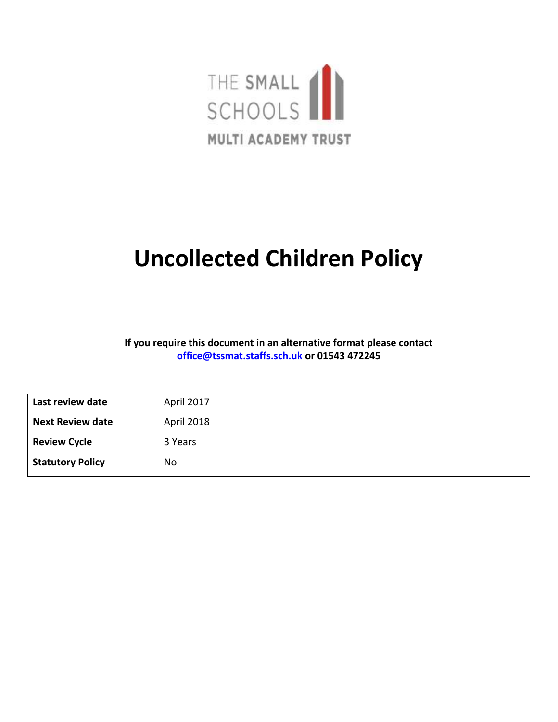

# **Uncollected Children Policy**

**If you require this document in an alternative format please contact [office@tssmat.staffs.sch.uk](mailto:office@tssmat.staffs.sch.uk) or 01543 472245**

| Last review date        | April 2017 |
|-------------------------|------------|
| <b>Next Review date</b> | April 2018 |
| <b>Review Cycle</b>     | 3 Years    |
| <b>Statutory Policy</b> | No         |